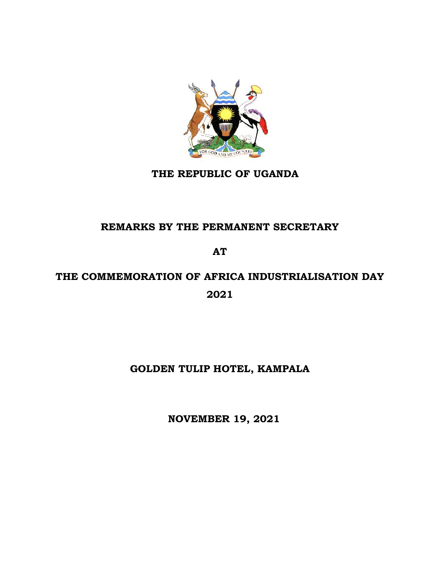

## **THE REPUBLIC OF UGANDA**

## **REMARKS BY THE PERMANENT SECRETARY**

**AT**

# **THE COMMEMORATION OF AFRICA INDUSTRIALISATION DAY 2021**

# **GOLDEN TULIP HOTEL, KAMPALA**

 **NOVEMBER 19, 2021**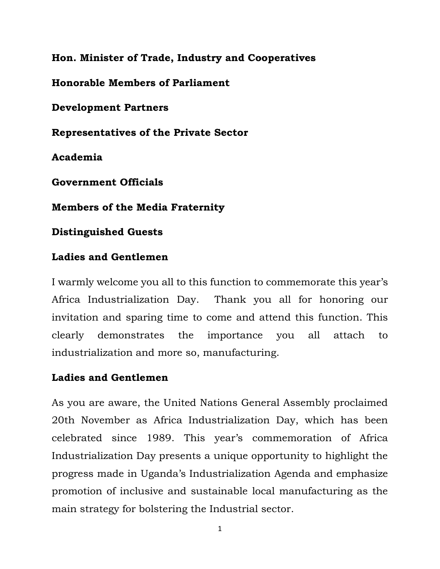**Hon. Minister of Trade, Industry and Cooperatives**

**Honorable Members of Parliament** 

**Development Partners**

**Representatives of the Private Sector**

**Academia**

**Government Officials**

**Members of the Media Fraternity**

**Distinguished Guests**

## **Ladies and Gentlemen**

I warmly welcome you all to this function to commemorate this year's Africa Industrialization Day. Thank you all for honoring our invitation and sparing time to come and attend this function. This clearly demonstrates the importance you all attach to industrialization and more so, manufacturing.

## **Ladies and Gentlemen**

As you are aware, the United Nations General Assembly proclaimed 20th November as Africa Industrialization Day, which has been celebrated since 1989. This year's commemoration of Africa Industrialization Day presents a unique opportunity to highlight the progress made in Uganda's Industrialization Agenda and emphasize promotion of inclusive and sustainable local manufacturing as the main strategy for bolstering the Industrial sector.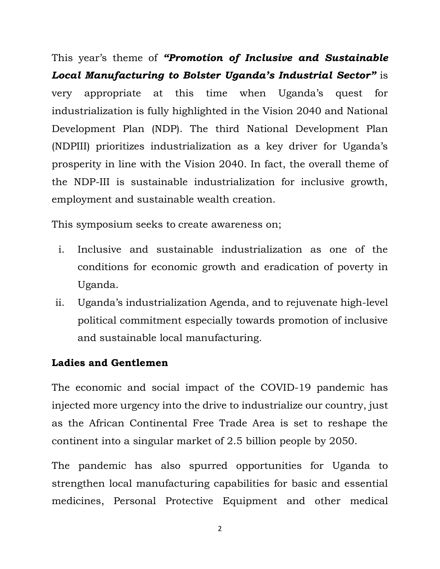This year's theme of *"Promotion of Inclusive and Sustainable Local Manufacturing to Bolster Uganda's Industrial Sector"* is very appropriate at this time when Uganda's quest for industrialization is fully highlighted in the Vision 2040 and National Development Plan (NDP). The third National Development Plan (NDPIII) prioritizes industrialization as a key driver for Uganda's prosperity in line with the Vision 2040. In fact, the overall theme of the NDP-III is sustainable industrialization for inclusive growth, employment and sustainable wealth creation.

This symposium seeks to create awareness on;

- i. Inclusive and sustainable industrialization as one of the conditions for economic growth and eradication of poverty in Uganda.
- ii. Uganda's industrialization Agenda, and to rejuvenate high-level political commitment especially towards promotion of inclusive and sustainable local manufacturing.

## **Ladies and Gentlemen**

The economic and social impact of the COVID-19 pandemic has injected more urgency into the drive to industrialize our country, just as the African Continental Free Trade Area is set to reshape the continent into a singular market of 2.5 billion people by 2050.

The pandemic has also spurred opportunities for Uganda to strengthen local manufacturing capabilities for basic and essential medicines, Personal Protective Equipment and other medical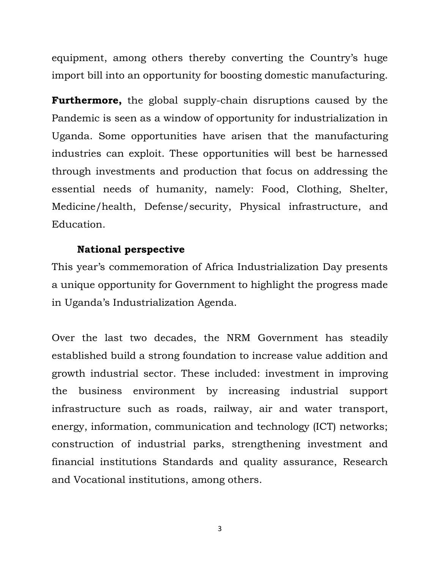equipment, among others thereby converting the Country's huge import bill into an opportunity for boosting domestic manufacturing.

**Furthermore,** the global supply-chain disruptions caused by the Pandemic is seen as a window of opportunity for industrialization in Uganda. Some opportunities have arisen that the manufacturing industries can exploit. These opportunities will best be harnessed through investments and production that focus on addressing the essential needs of humanity, namely: Food, Clothing, Shelter, Medicine/health, Defense/security, Physical infrastructure, and Education.

#### **National perspective**

This year's commemoration of Africa Industrialization Day presents a unique opportunity for Government to highlight the progress made in Uganda's Industrialization Agenda.

Over the last two decades, the NRM Government has steadily established build a strong foundation to increase value addition and growth industrial sector. These included: investment in improving the business environment by increasing industrial support infrastructure such as roads, railway, air and water transport, energy, information, communication and technology (ICT) networks; construction of industrial parks, strengthening investment and financial institutions Standards and quality assurance, Research and Vocational institutions, among others.

3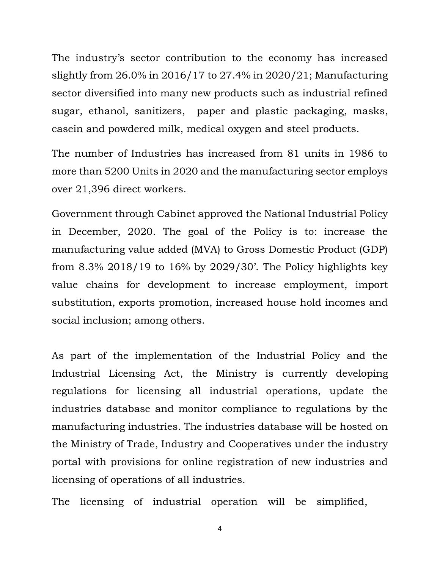The industry's sector contribution to the economy has increased slightly from 26.0% in 2016/17 to 27.4% in 2020/21; Manufacturing sector diversified into many new products such as industrial refined sugar, ethanol, sanitizers, paper and plastic packaging, masks, casein and powdered milk, medical oxygen and steel products.

The number of Industries has increased from 81 units in 1986 to more than 5200 Units in 2020 and the manufacturing sector employs over 21,396 direct workers.

Government through Cabinet approved the National Industrial Policy in December, 2020. The goal of the Policy is to: increase the manufacturing value added (MVA) to Gross Domestic Product (GDP) from 8.3% 2018/19 to 16% by 2029/30'. The Policy highlights key value chains for development to increase employment, import substitution, exports promotion, increased house hold incomes and social inclusion; among others.

As part of the implementation of the Industrial Policy and the Industrial Licensing Act, the Ministry is currently developing regulations for licensing all industrial operations, update the industries database and monitor compliance to regulations by the manufacturing industries. The industries database will be hosted on the Ministry of Trade, Industry and Cooperatives under the industry portal with provisions for online registration of new industries and licensing of operations of all industries.

The licensing of industrial operation will be simplified,

4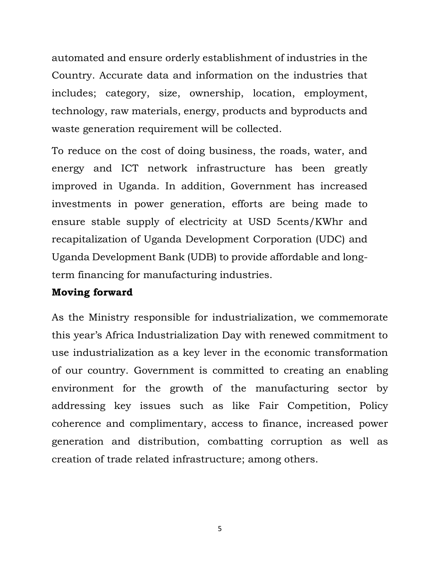automated and ensure orderly establishment of industries in the Country. Accurate data and information on the industries that includes; category, size, ownership, location, employment, technology, raw materials, energy, products and byproducts and waste generation requirement will be collected.

To reduce on the cost of doing business, the roads, water, and energy and ICT network infrastructure has been greatly improved in Uganda. In addition, Government has increased investments in power generation, efforts are being made to ensure stable supply of electricity at USD 5cents/KWhr and recapitalization of Uganda Development Corporation (UDC) and Uganda Development Bank (UDB) to provide affordable and longterm financing for manufacturing industries.

#### **Moving forward**

As the Ministry responsible for industrialization, we commemorate this year's Africa Industrialization Day with renewed commitment to use industrialization as a key lever in the economic transformation of our country. Government is committed to creating an enabling environment for the growth of the manufacturing sector by addressing key issues such as like Fair Competition, Policy coherence and complimentary, access to finance, increased power generation and distribution, combatting corruption as well as creation of trade related infrastructure; among others.

5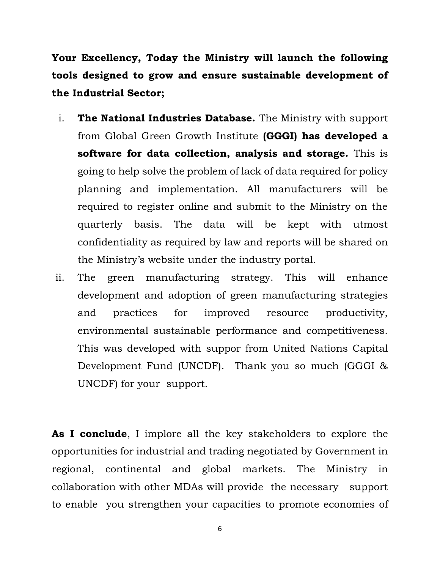**Your Excellency, Today the Ministry will launch the following tools designed to grow and ensure sustainable development of the Industrial Sector;**

- i. **The National Industries Database.** The Ministry with support from Global Green Growth Institute **(GGGI) has developed a software for data collection, analysis and storage.** This is going to help solve the problem of lack of data required for policy planning and implementation. All manufacturers will be required to register online and submit to the Ministry on the quarterly basis. The data will be kept with utmost confidentiality as required by law and reports will be shared on the Ministry's website under the industry portal.
- ii. The green manufacturing strategy. This will enhance development and adoption of green manufacturing strategies and practices for improved resource productivity, environmental sustainable performance and competitiveness. This was developed with suppor from United Nations Capital Development Fund (UNCDF). Thank you so much (GGGI & UNCDF) for your support.

**As I conclude**, I implore all the key stakeholders to explore the opportunities for industrial and trading negotiated by Government in regional, continental and global markets. The Ministry in collaboration with other MDAs will provide the necessary support to enable you strengthen your capacities to promote economies of